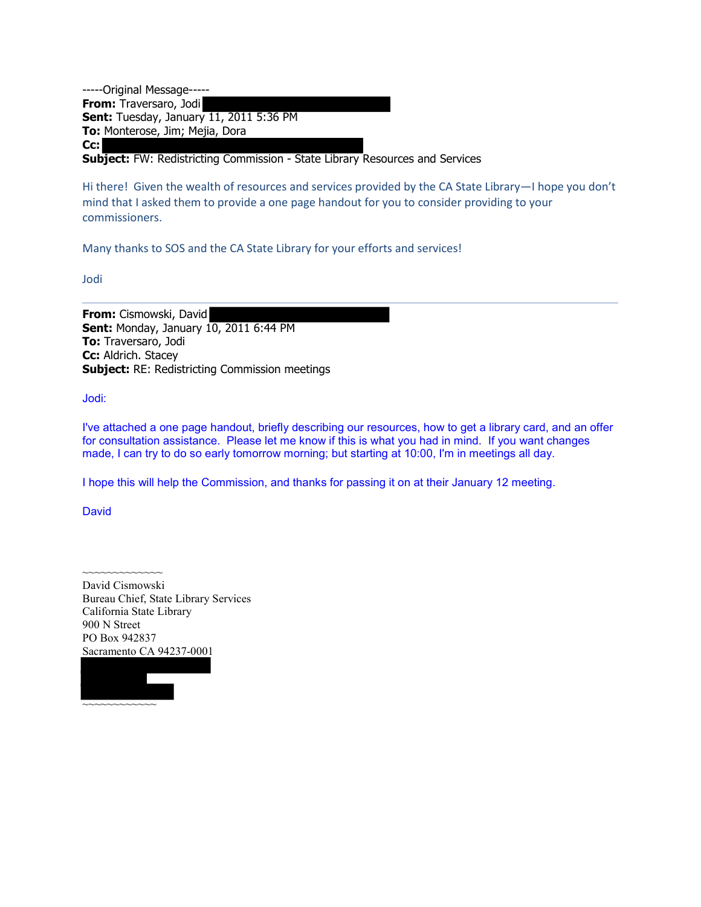-----Original Message----- **From:** Traversaro, Jodi **Sent:** Tuesday, January 11, 2011 5:36 PM **To:** Monterose, Jim; Mejia, Dora **Cc:**

**Subject:** FW: Redistricting Commission - State Library Resources and Services

Hi there! Given the wealth of resources and services provided by the CA State Library—I hope you don't mind that I asked them to provide a one page handout for you to consider providing to your commissioners.

Many thanks to SOS and the CA State Library for your efforts and services!

Jodi

**From:** Cismowski, David **Sent:** Monday, January 10, 2011 6:44 PM **To:** Traversaro, Jodi **Cc:** Aldrich. Stacey **Subject:** RE: Redistricting Commission meetings

Jodi:

I've attached a one page handout, briefly describing our resources, how to get a library card, and an offer for consultation assistance. Please let me know if this is what you had in mind. If you want changes made, I can try to do so early tomorrow morning; but starting at 10:00, I'm in meetings all day.

I hope this will help the Commission, and thanks for passing it on at their January 12 meeting.

**David** 

David Cismowski Bureau Chief, State Library Services California State Library 900 N Street PO Box 942837 Sacramento CA 94237-0001



~~~~~~~~~~~